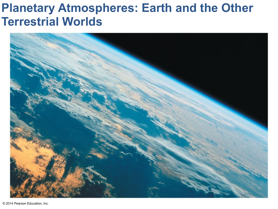#### **Planetary Atmospheres: Earth and the Other Terrestrial Worlds**

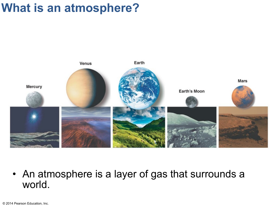### **What is an atmosphere?**



• An atmosphere is a layer of gas that surrounds a world.

© 2014 Pearson Education, Inc.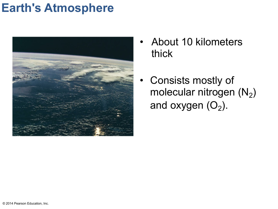#### **Earth's Atmosphere**



- About 10 kilometers thick
- Consists mostly of molecular nitrogen  $(N_2)$ and oxygen  $(O_2)$ .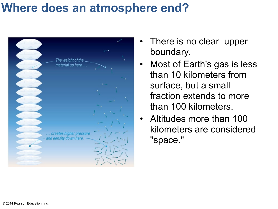#### **Where does an atmosphere end?**



- There is no clear upper boundary.
- Most of Earth's gas is less than 10 kilometers from surface, but a small fraction extends to more than 100 kilometers.
- Altitudes more than 100 kilometers are considered "space."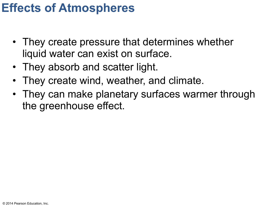### **Effects of Atmospheres**

- They create pressure that determines whether liquid water can exist on surface.
- They absorb and scatter light.
- They create wind, weather, and climate.
- They can make planetary surfaces warmer through the greenhouse effect.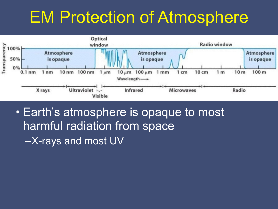# EM Protection of Atmosphere



• Earth's atmosphere is opaque to most harmful radiation from space –X-rays and most UV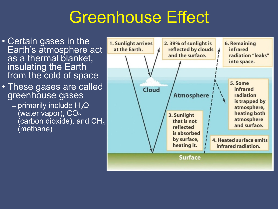# Greenhouse Effect

- Certain gases in the Earth's atmosphere act as a thermal blanket, insulating the Earth from the cold of space
- These gases are called greenhouse gases
	- primarily include  $H_2O$ (water vapor),  $CO<sub>2</sub>$ (carbon dioxide), and  $\text{CH}_4$ (methane)

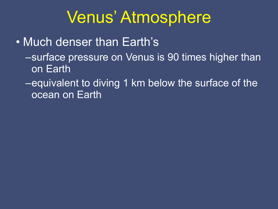# Venus' Atmosphere

• Much denser than Earth's –surface pressure on Venus is 90 times higher than on Earth

–equivalent to diving 1 km below the surface of the ocean on Earth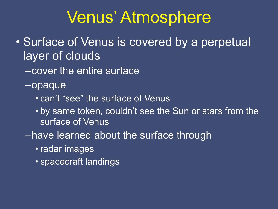## Venus' Atmosphere

- Surface of Venus is covered by a perpetual layer of clouds
	- –cover the entire surface
	- –opaque
		- can't "see" the surface of Venus
		- by same token, couldn't see the Sun or stars from the surface of Venus
	- –have learned about the surface through
		- radar images
		- spacecraft landings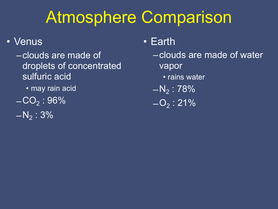# Atmosphere Comparison

#### • Venus

- –clouds are made of droplets of concentrated sulfuric acid • may rain acid  $-CO<sub>2</sub> : 96%$
- $-N_2 : 3\%$
- Earth
	- –clouds are made of water vapor
		- rains water
	- $-N_2$ : 78%
	- $-O<sub>2</sub>$ : 21%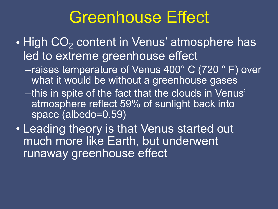# Greenhouse Effect

- High CO<sub>2</sub> content in Venus' atmosphere has led to extreme greenhouse effect
	- –raises temperature of Venus 400° C (720 ° F) over what it would be without a greenhouse gases
	- –this in spite of the fact that the clouds in Venus' atmosphere reflect 59% of sunlight back into space (albedo=0.59)
- Leading theory is that Venus started out much more like Earth, but underwent runaway greenhouse effect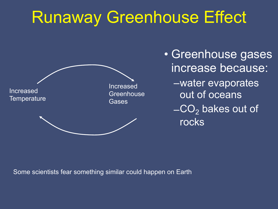# Runaway Greenhouse Effect



• Greenhouse gases increase because: –water evaporates out of oceans  $-CO<sub>2</sub>$  bakes out of rocks

Some scientists fear something similar could happen on Earth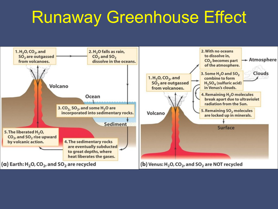# Runaway Greenhouse Effect

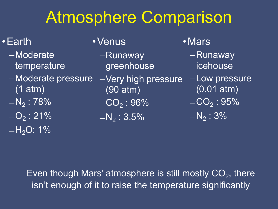# Atmosphere Comparison

#### •Earth

- –Moderate temperature
- –Moderate pressure (1 atm)
- $-N_2$ : 78%
- $\overline{-O_2}$  : 21%  $-H<sub>2</sub>O$ : 1%
- •Venus
	- –Runaway greenhouse
	- –Very high pressure (90 atm)
	- $-CO<sub>2</sub> : 96%$
	- $-N_2$ : 3.5%
- •Mars
	- –Runaway icehouse
	- –Low pressure (0.01 atm)
	- $-CO<sub>2</sub> : 95%$
	- $\overline{-{\sf N}_{2}}$  : 3%

Even though Mars' atmosphere is still mostly  $CO<sub>2</sub>$ , there isn't enough of it to raise the temperature significantly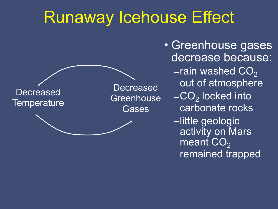# Runaway Icehouse Effect



• Greenhouse gases decrease because:  $-$ rain washed  $CO<sub>2</sub>$ out of atmosphere  $\overline{-CO_2}$  locked into carbonate rocks –little geologic activity on Mars meant  $CO<sub>2</sub>$ remained trapped